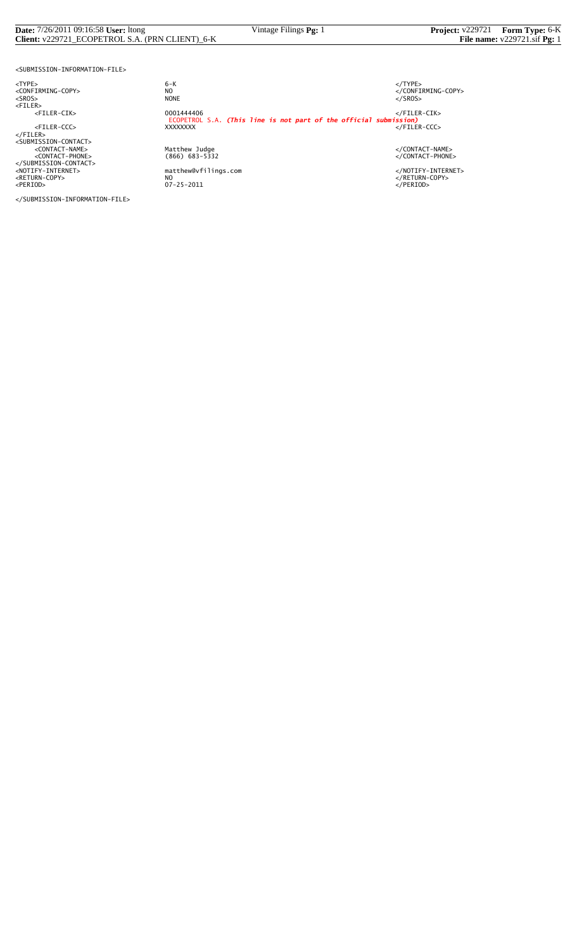#### **Date:** 7/26/2011 09:16:58 **User:** ltong Vintage Filings **Pg:** 1 **Project:** v229721 **Form Type:** 6-K **Client:** v229721\_ECOPETROL S.A. (PRN CLIENT)\_6-K **File name:** v229721.sif **Pg:** 1

<SUBMISSION-INFORMATION-FILE>

<TYPE> 6-K </TYPE>

</SUBMISSION-INFORMATION-FILE>

 $6 - K$ NO<br>
NO<br>
NONE<br>
NONE<br>
NONE<br>
S/SROS> <SROS> NONE </SROS> <FILER> <FILER-CIK> 0001444406 </FILER-CIK> ECOPETROL S.A. *(This line is not part of the official submission)* <FILER-CCC> XXXXXXXX </FILER-CCC> </FILER> <SUBMISSION-CONTACT> <CONTACT-NAME> Matthew Judge </CONTACT-NAME> <CONTACT-PHONE> (866) 683-5332 </CONTACT-PHONE> </SUBMISSION-CONTACT> <NOTIFY-INTERNET> matthew@vfilings.com </NOTIFY-INTERNET> <RETURN-COPY> NO </RETURN-COPY> <PERIOD> 07-25-2011 </PERIOD>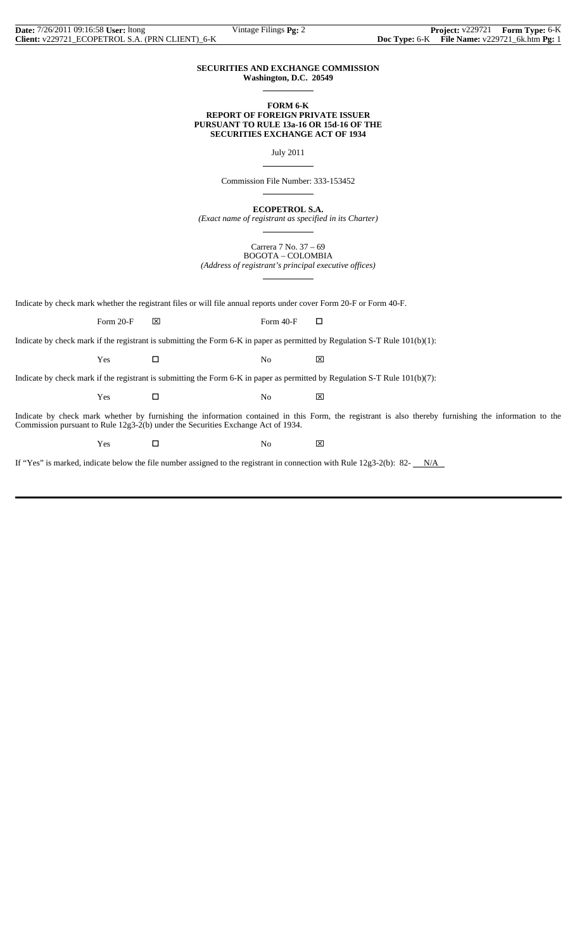#### **SECURITIES AND EXCHANGE COMMISSION Washington, D.C. 20549**

 $\overline{a}$ 

 $\overline{a}$ 

 $\overline{a}$ 

 $\overline{a}$ 

#### **FORM 6-K REPORT OF FOREIGN PRIVATE ISSUER PURSUANT TO RULE 13a-16 OR 15d-16 OF THE SECURITIES EXCHANGE ACT OF 1934**

July 2011

Commission File Number: 333-153452

**ECOPETROL S.A.**

*(Exact name of registrant as specified in its Charter)*  $\overline{a}$ 

> Carrera 7 No. 37 – 69 BOGOTA – COLOMBIA

*(Address of registrant's principal executive offices)*

Indicate by check mark whether the registrant files or will file annual reports under cover Form 20-F or Form 40-F.

Form 20-F  $\boxtimes$  Form 40-F  $\Box$ 

Indicate by check mark if the registrant is submitting the Form 6-K in paper as permitted by Regulation S-T Rule 101(b)(1):

 $Yes$   $\Box$  No  $\boxtimes$ 

Indicate by check mark if the registrant is submitting the Form 6-K in paper as permitted by Regulation S-T Rule 101(b)(7):

 $Yes$   $\Box$  No  $\boxtimes$ 

Indicate by check mark whether by furnishing the information contained in this Form, the registrant is also thereby furnishing the information to the Commission pursuant to Rule 12g3-2(b) under the Securities Exchange Act of 1934.

Yes □ No ⊠

If "Yes" is marked, indicate below the file number assigned to the registrant in connection with Rule  $12g3-2(b)$ : 82- $N/A$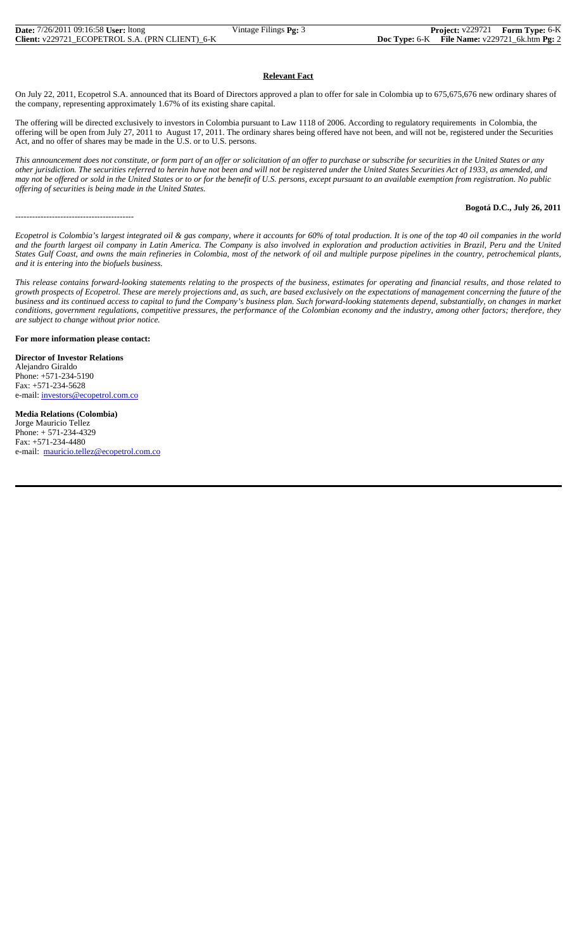### **Relevant Fact**

On July 22, 2011, Ecopetrol S.A. announced that its Board of Directors approved a plan to offer for sale in Colombia up to 675,675,676 new ordinary shares of the company, representing approximately 1.67% of its existing share capital.

The offering will be directed exclusively to investors in Colombia pursuant to Law 1118 of 2006. According to regulatory requirements in Colombia, the offering will be open from July 27, 2011 to August 17, 2011. The ordinary shares being offered have not been, and will not be, registered under the Securities Act, and no offer of shares may be made in the U.S. or to U.S. persons.

*This announcement does not constitute, or form part of an offer or solicitation of an offer to purchase or subscribe for securities in the United States or any other jurisdiction. The securities referred to herein have not been and will not be registered under the United States Securities Act of 1933, as amended, and may not be offered or sold in the United States or to or for the benefit of U.S. persons, except pursuant to an available exemption from registration. No public offering of securities is being made in the United States.*

#### **Bogotá D.C., July 26, 2011**

*Ecopetrol is Colombia's largest integrated oil & gas company, where it accounts for 60% of total production. It is one of the top 40 oil companies in the world and the fourth largest oil company in Latin America. The Company is also involved in exploration and production activities in Brazil, Peru and the United States Gulf Coast, and owns the main refineries in Colombia, most of the network of oil and multiple purpose pipelines in the country, petrochemical plants, and it is entering into the biofuels business.*

*This release contains forward-looking statements relating to the prospects of the business, estimates for operating and financial results, and those related to growth prospects of Ecopetrol. These are merely projections and, as such, are based exclusively on the expectations of management concerning the future of the business and its continued access to capital to fund the Company's business plan. Such forward-looking statements depend, substantially, on changes in market conditions, government regulations, competitive pressures, the performance of the Colombian economy and the industry, among other factors; therefore, they are subject to change without prior notice.*

#### **For more information please contact:**

------------------------------------------

**Director of Investor Relations** Alejandro Giraldo Phone: +571-234-5190 Fax: +571-234-5628 e-mail: investors@ecopetrol.com.co

**Media Relations (Colombia)** Jorge Mauricio Tellez Phone: + 571-234-4329 Fax: +571-234-4480 e-mail: mauricio.tellez@ecopetrol.com.co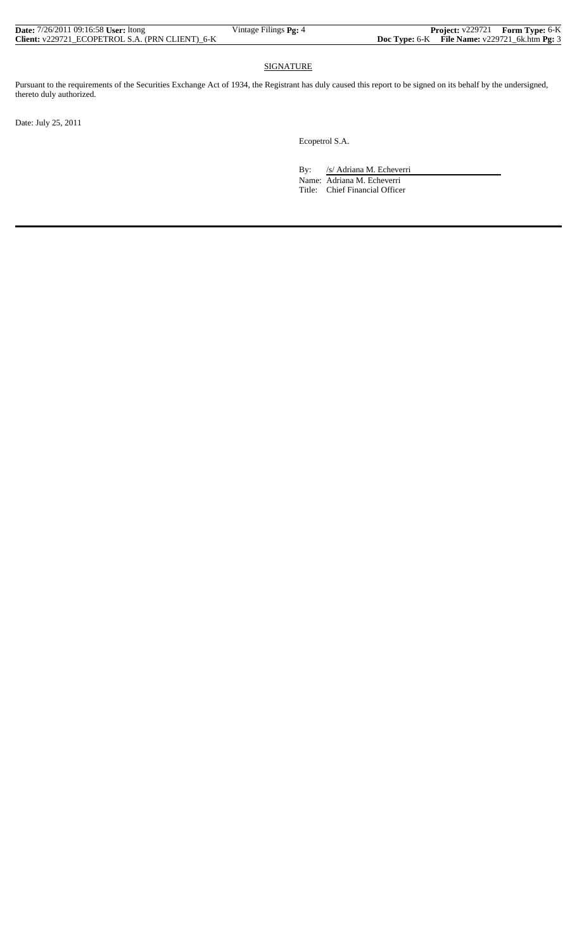| <b>Date:</b> $7/26/2011$ 09:16:58 User: Itong          | Vintage Filings <b>Pg:</b> 4 |                                               | <b>Project:</b> v229721 Form Type: 6-K |
|--------------------------------------------------------|------------------------------|-----------------------------------------------|----------------------------------------|
| <b>Client:</b> v229721 ECOPETROL S.A. (PRN CLIENT) 6-K |                              | Doc Type: 6-K File Name: v229721_6k.htm Pg: 3 |                                        |

## **SIGNATURE**

Pursuant to the requirements of the Securities Exchange Act of 1934, the Registrant has duly caused this report to be signed on its behalf by the undersigned, thereto duly authorized.

Date: July 25, 2011

Ecopetrol S.A.

By: /s/ Adriana M. Echeverri

 Name: Adriana M. Echeverri Title: Chief Financial Officer